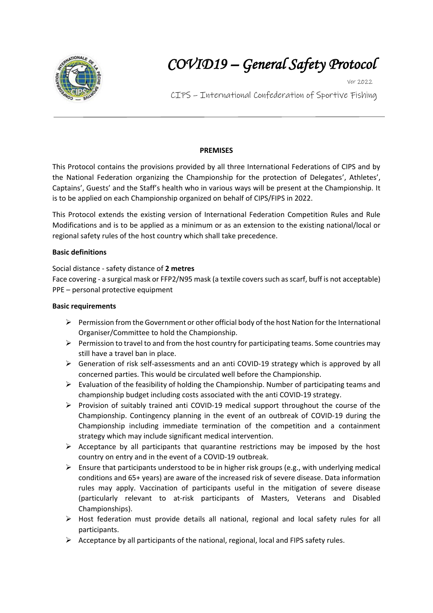

# *COVID19 – General Safety Protocol*

Ver 2022

CIPS – International Confederation of Sportive Fishing *ProtocolControllers* 

## **PREMISES**

This Protocol contains the provisions provided by all three International Federations of CIPS and by the National Federation organizing the Championship for the protection of Delegates', Athletes', Captains', Guests' and the Staff's health who in various ways will be present at the Championship. It is to be applied on each Championship organized on behalf of CIPS/FIPS in 2022.

This Protocol extends the existing version of International Federation Competition Rules and Rule Modifications and is to be applied as a minimum or as an extension to the existing national/local or regional safety rules of the host country which shall take precedence.

#### **Basic definitions**

## Social distance - safety distance of **2 metres**

Face covering - a surgical mask or FFP2/N95 mask (a textile coverssuch as scarf, buff is not acceptable) PPE – personal protective equipment

### **Basic requirements**

- $\triangleright$  Permission from the Government or other official body of the host Nation for the International Organiser/Committee to hold the Championship.
- $\triangleright$  Permission to travel to and from the host country for participating teams. Some countries may still have a travel ban in place.
- Generation of risk self-assessments and an anti COVID-19 strategy which is approved by all concerned parties. This would be circulated well before the Championship.
- $\triangleright$  Evaluation of the feasibility of holding the Championship. Number of participating teams and championship budget including costs associated with the anti COVID-19 strategy.
- $\triangleright$  Provision of suitably trained anti COVID-19 medical support throughout the course of the Championship. Contingency planning in the event of an outbreak of COVID-19 during the Championship including immediate termination of the competition and a containment strategy which may include significant medical intervention.
- $\triangleright$  Acceptance by all participants that quarantine restrictions may be imposed by the host country on entry and in the event of a COVID-19 outbreak.
- $\triangleright$  Ensure that participants understood to be in higher risk groups (e.g., with underlying medical conditions and 65+ years) are aware of the increased risk of severe disease. Data information rules may apply. Vaccination of participants useful in the mitigation of severe disease (particularly relevant to at-risk participants of Masters, Veterans and Disabled Championships).
- $\triangleright$  Host federation must provide details all national, regional and local safety rules for all participants.
- $\triangleright$  Acceptance by all participants of the national, regional, local and FIPS safety rules.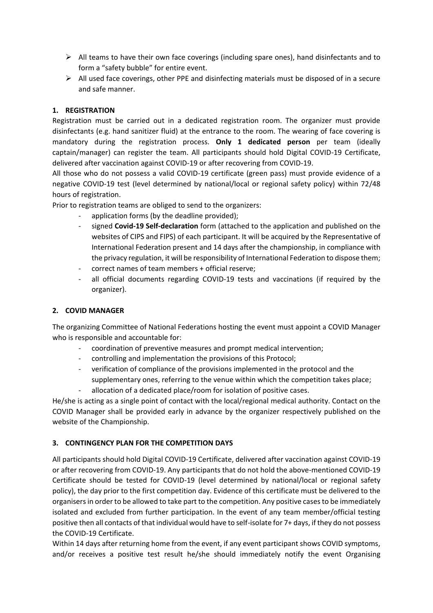- $\triangleright$  All teams to have their own face coverings (including spare ones), hand disinfectants and to form a "safety bubble" for entire event.
- $\triangleright$  All used face coverings, other PPE and disinfecting materials must be disposed of in a secure and safe manner.

## **1. REGISTRATION**

Registration must be carried out in a dedicated registration room. The organizer must provide disinfectants (e.g. hand sanitizer fluid) at the entrance to the room. The wearing of face covering is mandatory during the registration process. **Only 1 dedicated person** per team (ideally captain/manager) can register the team. All participants should hold Digital COVID-19 Certificate, delivered after vaccination against COVID-19 or after recovering from COVID-19.

All those who do not possess a valid COVID-19 certificate (green pass) must provide evidence of a negative COVID-19 test (level determined by national/local or regional safety policy) within 72/48 hours of registration.

Prior to registration teams are obliged to send to the organizers:

- application forms (by the deadline provided);
- signed **Covid-19 Self-declaration** form (attached to the application and published on the websites of CIPS and FIPS) of each participant. It will be acquired by the Representative of International Federation present and 14 days after the championship, in compliance with the privacy regulation, it will be responsibility of International Federation to dispose them;
- correct names of team members + official reserve;
- all official documents regarding COVID-19 tests and vaccinations (if required by the organizer).

## **2. COVID MANAGER**

The organizing Committee of National Federations hosting the event must appoint a COVID Manager who is responsible and accountable for:

- coordination of preventive measures and prompt medical intervention;
- controlling and implementation the provisions of this Protocol;
- verification of compliance of the provisions implemented in the protocol and the supplementary ones, referring to the venue within which the competition takes place;
- allocation of a dedicated place/room for isolation of positive cases.

He/she is acting as a single point of contact with the local/regional medical authority. Contact on the COVID Manager shall be provided early in advance by the organizer respectively published on the website of the Championship.

## **3. CONTINGENCY PLAN FOR THE COMPETITION DAYS**

All participants should hold Digital COVID-19 Certificate, delivered after vaccination against COVID-19 or after recovering from COVID-19. Any participants that do not hold the above-mentioned COVID-19 Certificate should be tested for COVID-19 (level determined by national/local or regional safety policy), the day prior to the first competition day. Evidence of this certificate must be delivered to the organisers in order to be allowed to take part to the competition. Any positive casesto be immediately isolated and excluded from further participation. In the event of any team member/official testing positive then all contacts of that individual would have to self-isolate for 7+ days, if they do not possess the COVID-19 Certificate.

Within 14 days after returning home from the event, if any event participant shows COVID symptoms, and/or receives a positive test result he/she should immediately notify the event Organising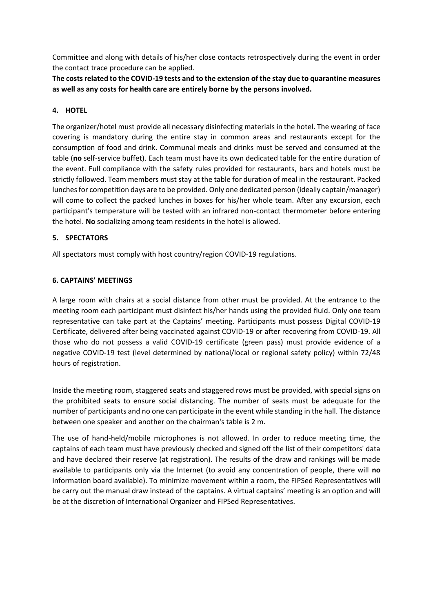Committee and along with details of his/her close contacts retrospectively during the event in order the contact trace procedure can be applied.

**The costs related to the COVID-19 tests and to the extension of the stay due to quarantine measures as well as any costs for health care are entirely borne by the persons involved.**

### **4. HOTEL**

The organizer/hotel must provide all necessary disinfecting materials in the hotel. The wearing of face covering is mandatory during the entire stay in common areas and restaurants except for the consumption of food and drink. Communal meals and drinks must be served and consumed at the table (**no** self-service buffet). Each team must have its own dedicated table for the entire duration of the event. Full compliance with the safety rules provided for restaurants, bars and hotels must be strictly followed. Team members must stay at the table for duration of meal in the restaurant. Packed lunches for competition days are to be provided. Only one dedicated person (ideally captain/manager) will come to collect the packed lunches in boxes for his/her whole team. After any excursion, each participant's temperature will be tested with an infrared non-contact thermometer before entering the hotel. **No** socializing among team residents in the hotel is allowed.

## **5. SPECTATORS**

All spectators must comply with host country/region COVID-19 regulations.

### **6. CAPTAINS' MEETINGS**

A large room with chairs at a social distance from other must be provided. At the entrance to the meeting room each participant must disinfect his/her hands using the provided fluid. Only one team representative can take part at the Captains' meeting. Participants must possess Digital COVID-19 Certificate, delivered after being vaccinated against COVID-19 or after recovering from COVID-19. All those who do not possess a valid COVID-19 certificate (green pass) must provide evidence of a negative COVID-19 test (level determined by national/local or regional safety policy) within 72/48 hours of registration.

Inside the meeting room, staggered seats and staggered rows must be provided, with special signs on the prohibited seats to ensure social distancing. The number of seats must be adequate for the number of participants and no one can participate in the event while standing in the hall. The distance between one speaker and another on the chairman's table is 2 m.

The use of hand-held/mobile microphones is not allowed. In order to reduce meeting time, the captains of each team must have previously checked and signed off the list of their competitors' data and have declared their reserve (at registration). The results of the draw and rankings will be made available to participants only via the Internet (to avoid any concentration of people, there will **no**  information board available). To minimize movement within a room, the FIPSed Representatives will be carry out the manual draw instead of the captains. A virtual captains' meeting is an option and will be at the discretion of International Organizer and FIPSed Representatives.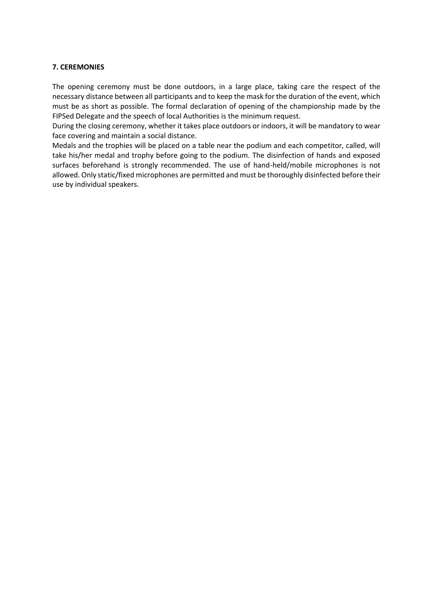#### **7. CEREMONIES**

The opening ceremony must be done outdoors, in a large place, taking care the respect of the necessary distance between all participants and to keep the mask for the duration of the event, which must be as short as possible. The formal declaration of opening of the championship made by the FIPSed Delegate and the speech of local Authorities is the minimum request.

During the closing ceremony, whether it takes place outdoors or indoors, it will be mandatory to wear face covering and maintain a social distance.

Medals and the trophies will be placed on a table near the podium and each competitor, called, will take his/her medal and trophy before going to the podium. The disinfection of hands and exposed surfaces beforehand is strongly recommended. The use of hand-held/mobile microphones is not allowed. Only static/fixed microphones are permitted and must be thoroughly disinfected before their use by individual speakers.